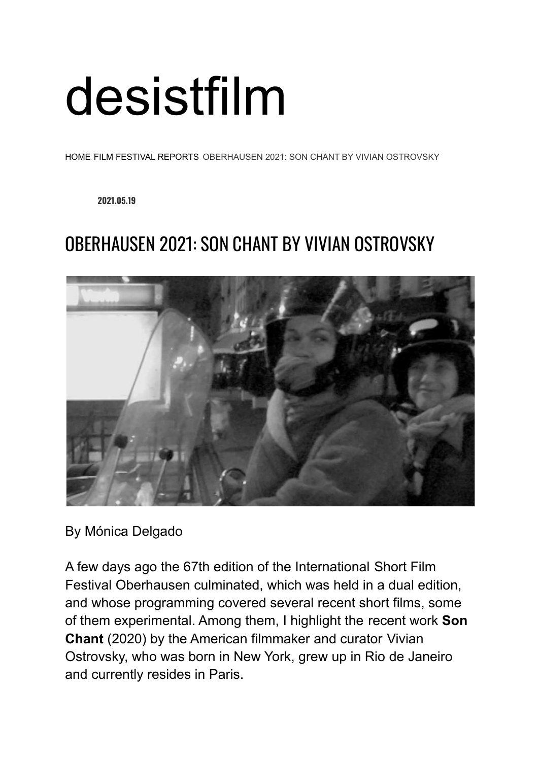## [desistfilm](https://desistfilm.com/)

[HOME](https://desistfilm.com/)- FILM FESTIVAL [REPORTS](https://desistfilm.com/category/film-reviews/)- OBERHAUSEN 2021: SON CHANT BY VIVIAN OSTROVSKY

**2021.05.19**

## OBERHAUSEN 2021: SON CHANT BY VIVIAN OSTROVSKY



By Mónica Delgado

A few days ago the 67th edition of the International Short Film Festival Oberhausen culminated, which was held in a dual edition, and whose programming covered several recent short films, some of them experimental. Among them, I highlight the recent work **Son Chant** (2020) by the American filmmaker and curator Vivian Ostrovsky, who was born in New York, grew up in Rio de Janeiro and currently resides in Paris.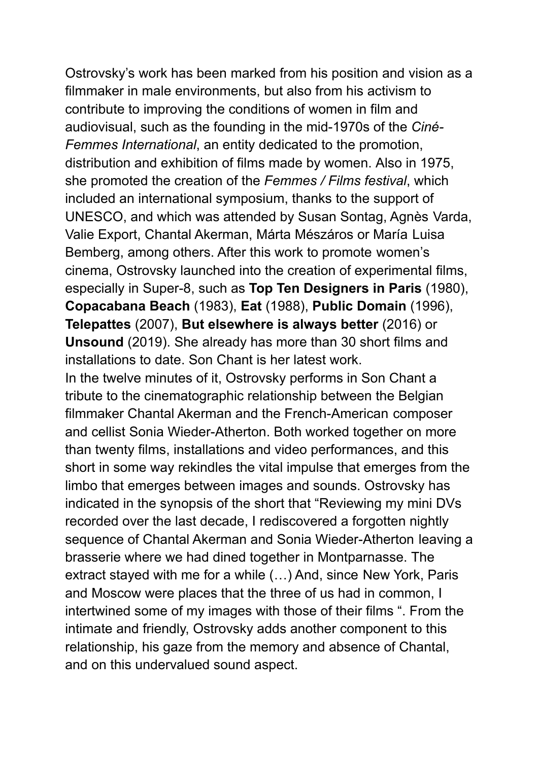Ostrovsky's work has been marked from his position and vision as a filmmaker in male environments, but also from his activism to contribute to improving the conditions of women in film and audiovisual, such as the founding in the mid-1970s of the *Ciné-Femmes International*, an entity dedicated to the promotion, distribution and exhibition of films made by women. Also in 1975, she promoted the creation of the *Femmes / Films festival*, which included an international symposium, thanks to the support of UNESCO, and which was attended by Susan Sontag, Agnès Varda, Valie Export, Chantal Akerman, Márta Mészáros or María Luisa Bemberg, among others. After this work to promote women's cinema, Ostrovsky launched into the creation of experimental films, especially in Super-8, such as **Top Ten Designers in Paris** (1980), **Copacabana Beach** (1983), **Eat** (1988), **Public Domain** (1996), **Telepattes** (2007), **But elsewhere is always better** (2016) or **Unsound** (2019). She already has more than 30 short films and installations to date. Son Chant is her latest work. In the twelve minutes of it, Ostrovsky performs in Son Chant a tribute to the cinematographic relationship between the Belgian filmmaker Chantal Akerman and the French-American composer and cellist Sonia Wieder-Atherton. Both worked together on more than twenty films, installations and video performances, and this short in some way rekindles the vital impulse that emerges from the limbo that emerges between images and sounds. Ostrovsky has indicated in the synopsis of the short that "Reviewing my mini DVs recorded over the last decade, I rediscovered a forgotten nightly sequence of Chantal Akerman and Sonia Wieder-Atherton leaving a brasserie where we had dined together in Montparnasse. The extract stayed with me for a while (…) And, since New York, Paris and Moscow were places that the three of us had in common, I intertwined some of my images with those of their films ". From the intimate and friendly, Ostrovsky adds another component to this relationship, his gaze from the memory and absence of Chantal, and on this undervalued sound aspect.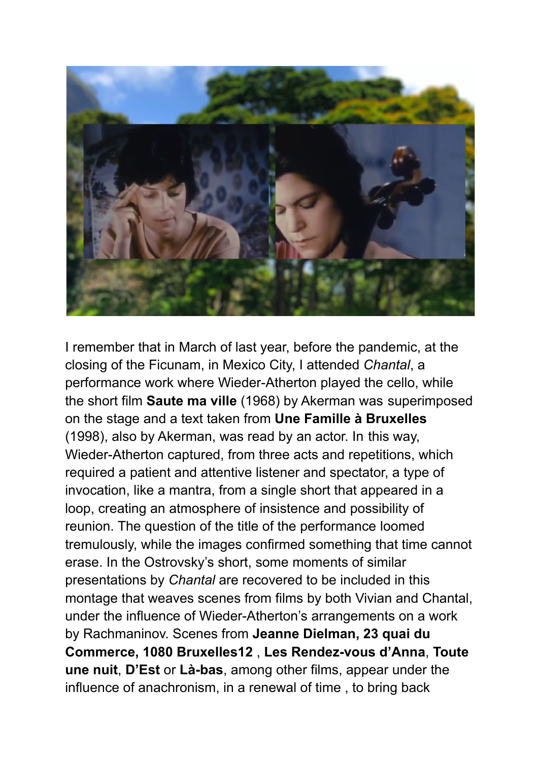

I remember that in March of last year, before the pandemic, at the closing of the Ficunam, in Mexico City, I attended *Chantal*, a performance work where Wieder-Atherton played the cello, while the short film **Saute ma ville** (1968) by Akerman was superimposed on the stage and a text taken from **Une Famille à Bruxelles** (1998), also by Akerman, was read by an actor. In this way, Wieder-Atherton captured, from three acts and repetitions, which required a patient and attentive listener and spectator, a type of invocation, like a mantra, from a single short that appeared in a loop, creating an atmosphere of insistence and possibility of reunion. The question of the title of the performance loomed tremulously, while the images confirmed something that time cannot erase. In the Ostrovsky's short, some moments of similar presentations by *Chantal* are recovered to be included in this montage that weaves scenes from films by both Vivian and Chantal, under the influence of Wieder-Atherton's arrangements on a work by Rachmaninov. Scenes from **Jeanne Dielman, 23 quai du Commerce, 1080 Bruxelles12** , **Les Rendez-vous d'Anna**, **Toute une nuit**, **D'Est** or **Là-bas**, among other films, appear under the influence of anachronism, in a renewal of time , to bring back